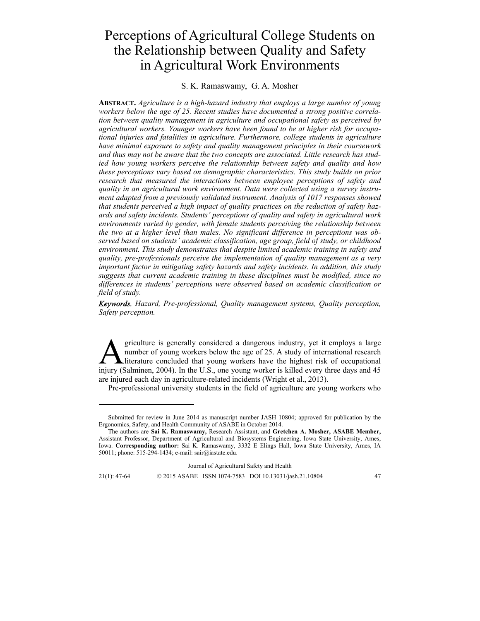# Perceptions of Agricultural College Students on the Relationship between Quality and Safety in Agricultural Work Environments

S. K. Ramaswamy, G. A. Mosher

**ABSTRACT.** *Agriculture is a high-hazard industry that employs a large number of young workers below the age of 25. Recent studies have documented a strong positive correlation between quality management in agriculture and occupational safety as perceived by agricultural workers. Younger workers have been found to be at higher risk for occupational injuries and fatalities in agriculture. Furthermore, college students in agriculture have minimal exposure to safety and quality management principles in their coursework and thus may not be aware that the two concepts are associated. Little research has studied how young workers perceive the relationship between safety and quality and how these perceptions vary based on demographic characteristics. This study builds on prior research that measured the interactions between employee perceptions of safety and quality in an agricultural work environment. Data were collected using a survey instrument adapted from a previously validated instrument. Analysis of 1017 responses showed that students perceived a high impact of quality practices on the reduction of safety hazards and safety incidents. Students' perceptions of quality and safety in agricultural work environments varied by gender, with female students perceiving the relationship between the two at a higher level than males. No significant difference in perceptions was observed based on students' academic classification, age group, field of study, or childhood environment. This study demonstrates that despite limited academic training in safety and quality, pre-professionals perceive the implementation of quality management as a very important factor in mitigating safety hazards and safety incidents. In addition, this study suggests that current academic training in these disciplines must be modified, since no differences in students' perceptions were observed based on academic classification or field of study.* 

*Keywords. Hazard, Pre-professional, Quality management systems, Quality perception, Safety perception.* 

griculture is generally considered a dangerous industry, yet it employs a large number of young workers below the age of 25. A study of international research literature concluded that young workers have the highest risk of occupational **infurne** is generally considered a dangerous industry, yet it employs a large number of young workers below the age of 25. A study of international research literature concluded that young workers have the highest risk of are injured each day in agriculture-related incidents (Wright et al., 2013).

Pre-professional university students in the field of agriculture are young workers who

Journal of Agricultural Safety and Health

21(1): 47-64 © 2015 ASABE ISSN 1074-7583 DOI 10.13031/jash.21.10804 47

Submitted for review in June 2014 as manuscript number JASH 10804; approved for publication by the Ergonomics, Safety, and Health Community of ASABE in October 2014.

The authors are **Sai K. Ramaswamy,** Research Assistant, and **Gretchen A. Mosher, ASABE Member,** Assistant Professor, Department of Agricultural and Biosystems Engineering, Iowa State University, Ames, Iowa. **Corresponding author:** Sai K. Ramaswamy, 3332 E Elings Hall, Iowa State University, Ames, IA 50011; phone: 515-294-1434; e-mail: sair@iastate.edu.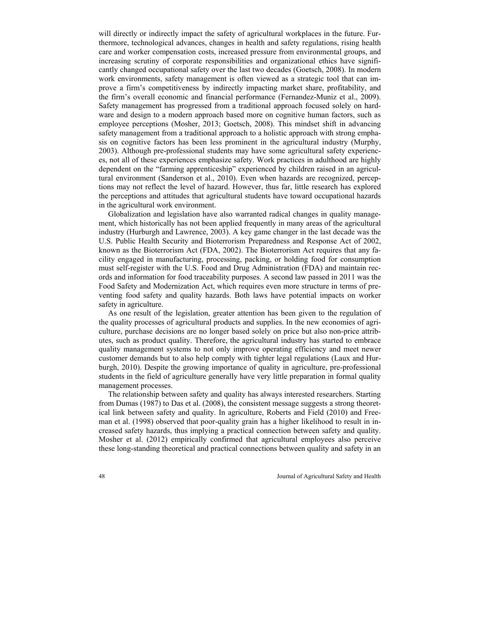will directly or indirectly impact the safety of agricultural workplaces in the future. Furthermore, technological advances, changes in health and safety regulations, rising health care and worker compensation costs, increased pressure from environmental groups, and increasing scrutiny of corporate responsibilities and organizational ethics have significantly changed occupational safety over the last two decades (Goetsch, 2008). In modern work environments, safety management is often viewed as a strategic tool that can improve a firm's competitiveness by indirectly impacting market share, profitability, and the firm's overall economic and financial performance (Fernandez-Muniz et al., 2009). Safety management has progressed from a traditional approach focused solely on hardware and design to a modern approach based more on cognitive human factors, such as employee perceptions (Mosher, 2013; Goetsch, 2008). This mindset shift in advancing safety management from a traditional approach to a holistic approach with strong emphasis on cognitive factors has been less prominent in the agricultural industry (Murphy, 2003). Although pre-professional students may have some agricultural safety experiences, not all of these experiences emphasize safety. Work practices in adulthood are highly dependent on the "farming apprenticeship" experienced by children raised in an agricultural environment (Sanderson et al., 2010). Even when hazards are recognized, perceptions may not reflect the level of hazard. However, thus far, little research has explored the perceptions and attitudes that agricultural students have toward occupational hazards in the agricultural work environment.

Globalization and legislation have also warranted radical changes in quality management, which historically has not been applied frequently in many areas of the agricultural industry (Hurburgh and Lawrence, 2003). A key game changer in the last decade was the U.S. Public Health Security and Bioterrorism Preparedness and Response Act of 2002, known as the Bioterrorism Act (FDA, 2002). The Bioterrorism Act requires that any facility engaged in manufacturing, processing, packing, or holding food for consumption must self-register with the U.S. Food and Drug Administration (FDA) and maintain records and information for food traceability purposes. A second law passed in 2011 was the Food Safety and Modernization Act, which requires even more structure in terms of preventing food safety and quality hazards. Both laws have potential impacts on worker safety in agriculture.

As one result of the legislation, greater attention has been given to the regulation of the quality processes of agricultural products and supplies. In the new economies of agriculture, purchase decisions are no longer based solely on price but also non-price attributes, such as product quality. Therefore, the agricultural industry has started to embrace quality management systems to not only improve operating efficiency and meet newer customer demands but to also help comply with tighter legal regulations (Laux and Hurburgh, 2010). Despite the growing importance of quality in agriculture, pre-professional students in the field of agriculture generally have very little preparation in formal quality management processes.

The relationship between safety and quality has always interested researchers. Starting from Dumas (1987) to Das et al. (2008), the consistent message suggests a strong theoretical link between safety and quality. In agriculture, Roberts and Field (2010) and Freeman et al. (1998) observed that poor-quality grain has a higher likelihood to result in increased safety hazards, thus implying a practical connection between safety and quality. Mosher et al. (2012) empirically confirmed that agricultural employees also perceive these long-standing theoretical and practical connections between quality and safety in an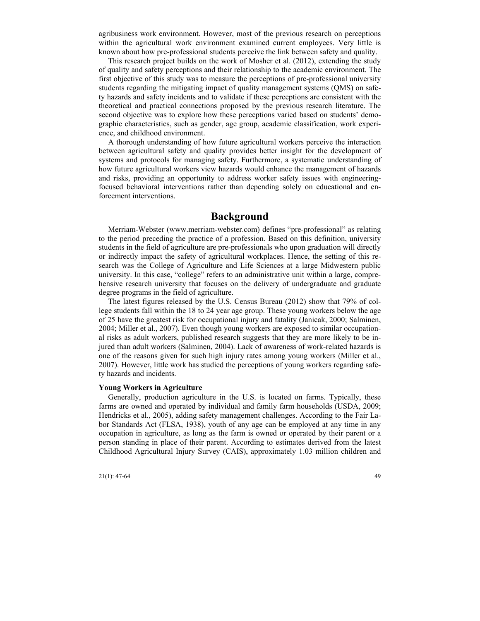agribusiness work environment. However, most of the previous research on perceptions within the agricultural work environment examined current employees. Very little is known about how pre-professional students perceive the link between safety and quality.

This research project builds on the work of Mosher et al. (2012), extending the study of quality and safety perceptions and their relationship to the academic environment. The first objective of this study was to measure the perceptions of pre-professional university students regarding the mitigating impact of quality management systems (QMS) on safety hazards and safety incidents and to validate if these perceptions are consistent with the theoretical and practical connections proposed by the previous research literature. The second objective was to explore how these perceptions varied based on students' demographic characteristics, such as gender, age group, academic classification, work experience, and childhood environment.

A thorough understanding of how future agricultural workers perceive the interaction between agricultural safety and quality provides better insight for the development of systems and protocols for managing safety. Furthermore, a systematic understanding of how future agricultural workers view hazards would enhance the management of hazards and risks, providing an opportunity to address worker safety issues with engineeringfocused behavioral interventions rather than depending solely on educational and enforcement interventions.

## **Background**

Merriam-Webster (www.merriam-webster.com) defines "pre-professional" as relating to the period preceding the practice of a profession. Based on this definition, university students in the field of agriculture are pre-professionals who upon graduation will directly or indirectly impact the safety of agricultural workplaces. Hence, the setting of this research was the College of Agriculture and Life Sciences at a large Midwestern public university. In this case, "college" refers to an administrative unit within a large, comprehensive research university that focuses on the delivery of undergraduate and graduate degree programs in the field of agriculture.

The latest figures released by the U.S. Census Bureau (2012) show that 79% of college students fall within the 18 to 24 year age group. These young workers below the age of 25 have the greatest risk for occupational injury and fatality (Janicak, 2000; Salminen, 2004; Miller et al., 2007). Even though young workers are exposed to similar occupational risks as adult workers, published research suggests that they are more likely to be injured than adult workers (Salminen, 2004). Lack of awareness of work-related hazards is one of the reasons given for such high injury rates among young workers (Miller et al., 2007). However, little work has studied the perceptions of young workers regarding safety hazards and incidents.

### **Young Workers in Agriculture**

Generally, production agriculture in the U.S. is located on farms. Typically, these farms are owned and operated by individual and family farm households (USDA, 2009; Hendricks et al., 2005), adding safety management challenges. According to the Fair Labor Standards Act (FLSA, 1938), youth of any age can be employed at any time in any occupation in agriculture, as long as the farm is owned or operated by their parent or a person standing in place of their parent. According to estimates derived from the latest Childhood Agricultural Injury Survey (CAIS), approximately 1.03 million children and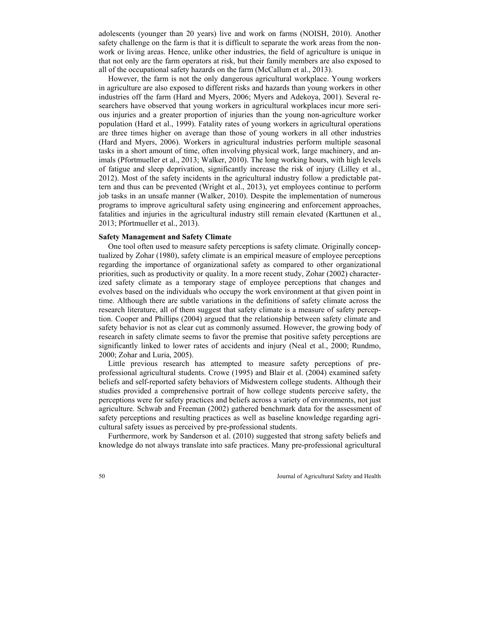adolescents (younger than 20 years) live and work on farms (NOISH, 2010). Another safety challenge on the farm is that it is difficult to separate the work areas from the nonwork or living areas. Hence, unlike other industries, the field of agriculture is unique in that not only are the farm operators at risk, but their family members are also exposed to all of the occupational safety hazards on the farm (McCallum et al., 2013).

However, the farm is not the only dangerous agricultural workplace. Young workers in agriculture are also exposed to different risks and hazards than young workers in other industries off the farm (Hard and Myers, 2006; Myers and Adekoya, 2001). Several researchers have observed that young workers in agricultural workplaces incur more serious injuries and a greater proportion of injuries than the young non-agriculture worker population (Hard et al., 1999). Fatality rates of young workers in agricultural operations are three times higher on average than those of young workers in all other industries (Hard and Myers, 2006). Workers in agricultural industries perform multiple seasonal tasks in a short amount of time, often involving physical work, large machinery, and animals (Pfortmueller et al., 2013; Walker, 2010). The long working hours, with high levels of fatigue and sleep deprivation, significantly increase the risk of injury (Lilley et al., 2012). Most of the safety incidents in the agricultural industry follow a predictable pattern and thus can be prevented (Wright et al., 2013), yet employees continue to perform job tasks in an unsafe manner (Walker, 2010). Despite the implementation of numerous programs to improve agricultural safety using engineering and enforcement approaches, fatalities and injuries in the agricultural industry still remain elevated (Karttunen et al., 2013; Pfortmueller et al., 2013).

### **Safety Management and Safety Climate**

One tool often used to measure safety perceptions is safety climate. Originally conceptualized by Zohar (1980), safety climate is an empirical measure of employee perceptions regarding the importance of organizational safety as compared to other organizational priorities, such as productivity or quality. In a more recent study, Zohar (2002) characterized safety climate as a temporary stage of employee perceptions that changes and evolves based on the individuals who occupy the work environment at that given point in time. Although there are subtle variations in the definitions of safety climate across the research literature, all of them suggest that safety climate is a measure of safety perception. Cooper and Phillips (2004) argued that the relationship between safety climate and safety behavior is not as clear cut as commonly assumed. However, the growing body of research in safety climate seems to favor the premise that positive safety perceptions are significantly linked to lower rates of accidents and injury (Neal et al., 2000; Rundmo, 2000; Zohar and Luria, 2005).

Little previous research has attempted to measure safety perceptions of preprofessional agricultural students. Crowe (1995) and Blair et al. (2004) examined safety beliefs and self-reported safety behaviors of Midwestern college students. Although their studies provided a comprehensive portrait of how college students perceive safety, the perceptions were for safety practices and beliefs across a variety of environments, not just agriculture. Schwab and Freeman (2002) gathered benchmark data for the assessment of safety perceptions and resulting practices as well as baseline knowledge regarding agricultural safety issues as perceived by pre-professional students.

Furthermore, work by Sanderson et al. (2010) suggested that strong safety beliefs and knowledge do not always translate into safe practices. Many pre-professional agricultural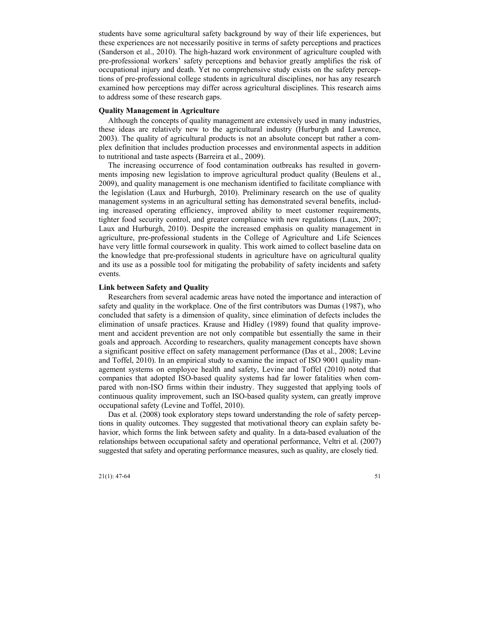students have some agricultural safety background by way of their life experiences, but these experiences are not necessarily positive in terms of safety perceptions and practices (Sanderson et al., 2010). The high-hazard work environment of agriculture coupled with pre-professional workers' safety perceptions and behavior greatly amplifies the risk of occupational injury and death. Yet no comprehensive study exists on the safety perceptions of pre-professional college students in agricultural disciplines, nor has any research examined how perceptions may differ across agricultural disciplines. This research aims to address some of these research gaps.

#### **Quality Management in Agriculture**

Although the concepts of quality management are extensively used in many industries, these ideas are relatively new to the agricultural industry (Hurburgh and Lawrence, 2003). The quality of agricultural products is not an absolute concept but rather a complex definition that includes production processes and environmental aspects in addition to nutritional and taste aspects (Barreira et al., 2009).

The increasing occurrence of food contamination outbreaks has resulted in governments imposing new legislation to improve agricultural product quality (Beulens et al., 2009), and quality management is one mechanism identified to facilitate compliance with the legislation (Laux and Hurburgh, 2010). Preliminary research on the use of quality management systems in an agricultural setting has demonstrated several benefits, including increased operating efficiency, improved ability to meet customer requirements, tighter food security control, and greater compliance with new regulations (Laux, 2007; Laux and Hurburgh, 2010). Despite the increased emphasis on quality management in agriculture, pre-professional students in the College of Agriculture and Life Sciences have very little formal coursework in quality. This work aimed to collect baseline data on the knowledge that pre-professional students in agriculture have on agricultural quality and its use as a possible tool for mitigating the probability of safety incidents and safety events.

#### **Link between Safety and Quality**

Researchers from several academic areas have noted the importance and interaction of safety and quality in the workplace. One of the first contributors was Dumas (1987), who concluded that safety is a dimension of quality, since elimination of defects includes the elimination of unsafe practices. Krause and Hidley (1989) found that quality improvement and accident prevention are not only compatible but essentially the same in their goals and approach. According to researchers, quality management concepts have shown a significant positive effect on safety management performance (Das et al., 2008; Levine and Toffel, 2010). In an empirical study to examine the impact of ISO 9001 quality management systems on employee health and safety, Levine and Toffel (2010) noted that companies that adopted ISO-based quality systems had far lower fatalities when compared with non-ISO firms within their industry. They suggested that applying tools of continuous quality improvement, such an ISO-based quality system, can greatly improve occupational safety (Levine and Toffel, 2010).

Das et al. (2008) took exploratory steps toward understanding the role of safety perceptions in quality outcomes. They suggested that motivational theory can explain safety behavior, which forms the link between safety and quality. In a data-based evaluation of the relationships between occupational safety and operational performance, Veltri et al. (2007) suggested that safety and operating performance measures, such as quality, are closely tied.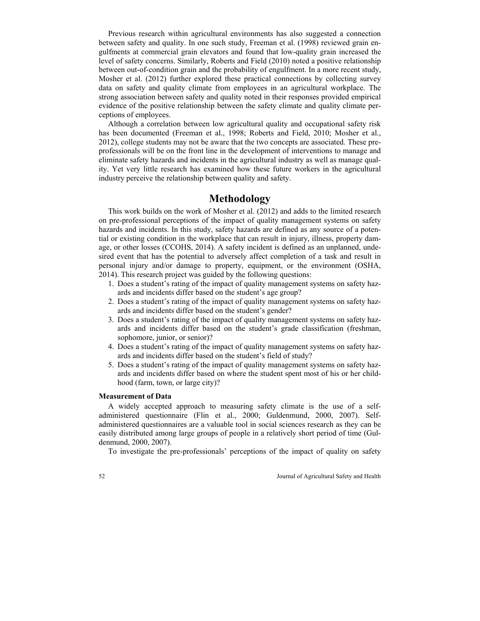Previous research within agricultural environments has also suggested a connection between safety and quality. In one such study, Freeman et al. (1998) reviewed grain engulfments at commercial grain elevators and found that low-quality grain increased the level of safety concerns. Similarly, Roberts and Field (2010) noted a positive relationship between out-of-condition grain and the probability of engulfment. In a more recent study, Mosher et al. (2012) further explored these practical connections by collecting survey data on safety and quality climate from employees in an agricultural workplace. The strong association between safety and quality noted in their responses provided empirical evidence of the positive relationship between the safety climate and quality climate perceptions of employees.

Although a correlation between low agricultural quality and occupational safety risk has been documented (Freeman et al., 1998; Roberts and Field, 2010; Mosher et al., 2012), college students may not be aware that the two concepts are associated. These preprofessionals will be on the front line in the development of interventions to manage and eliminate safety hazards and incidents in the agricultural industry as well as manage quality. Yet very little research has examined how these future workers in the agricultural industry perceive the relationship between quality and safety.

## **Methodology**

This work builds on the work of Mosher et al. (2012) and adds to the limited research on pre-professional perceptions of the impact of quality management systems on safety hazards and incidents. In this study, safety hazards are defined as any source of a potential or existing condition in the workplace that can result in injury, illness, property damage, or other losses (CCOHS, 2014). A safety incident is defined as an unplanned, undesired event that has the potential to adversely affect completion of a task and result in personal injury and/or damage to property, equipment, or the environment (OSHA, 2014). This research project was guided by the following questions:

- 1. Does a student's rating of the impact of quality management systems on safety hazards and incidents differ based on the student's age group?
- 2. Does a student's rating of the impact of quality management systems on safety hazards and incidents differ based on the student's gender?
- 3. Does a student's rating of the impact of quality management systems on safety hazards and incidents differ based on the student's grade classification (freshman, sophomore, junior, or senior)?
- 4. Does a student's rating of the impact of quality management systems on safety hazards and incidents differ based on the student's field of study?
- 5. Does a student's rating of the impact of quality management systems on safety hazards and incidents differ based on where the student spent most of his or her childhood (farm, town, or large city)?

#### **Measurement of Data**

A widely accepted approach to measuring safety climate is the use of a selfadministered questionnaire (Flin et al., 2000; Guldenmund, 2000, 2007). Selfadministered questionnaires are a valuable tool in social sciences research as they can be easily distributed among large groups of people in a relatively short period of time (Guldenmund, 2000, 2007).

To investigate the pre-professionals' perceptions of the impact of quality on safety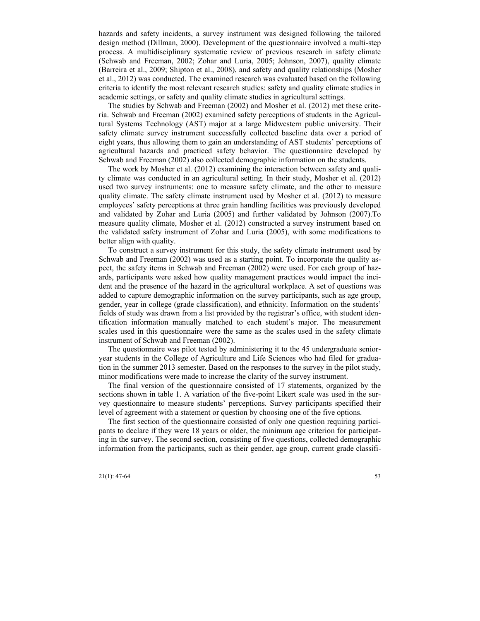hazards and safety incidents, a survey instrument was designed following the tailored design method (Dillman, 2000). Development of the questionnaire involved a multi-step process. A multidisciplinary systematic review of previous research in safety climate (Schwab and Freeman, 2002; Zohar and Luria, 2005; Johnson, 2007), quality climate (Barreira et al., 2009; Shipton et al., 2008), and safety and quality relationships (Mosher et al., 2012) was conducted. The examined research was evaluated based on the following criteria to identify the most relevant research studies: safety and quality climate studies in academic settings, or safety and quality climate studies in agricultural settings.

The studies by Schwab and Freeman (2002) and Mosher et al. (2012) met these criteria. Schwab and Freeman (2002) examined safety perceptions of students in the Agricultural Systems Technology (AST) major at a large Midwestern public university. Their safety climate survey instrument successfully collected baseline data over a period of eight years, thus allowing them to gain an understanding of AST students' perceptions of agricultural hazards and practiced safety behavior. The questionnaire developed by Schwab and Freeman (2002) also collected demographic information on the students.

The work by Mosher et al. (2012) examining the interaction between safety and quality climate was conducted in an agricultural setting. In their study, Mosher et al. (2012) used two survey instruments: one to measure safety climate, and the other to measure quality climate. The safety climate instrument used by Mosher et al. (2012) to measure employees' safety perceptions at three grain handling facilities was previously developed and validated by Zohar and Luria (2005) and further validated by Johnson (2007).To measure quality climate, Mosher et al. (2012) constructed a survey instrument based on the validated safety instrument of Zohar and Luria (2005), with some modifications to better align with quality.

To construct a survey instrument for this study, the safety climate instrument used by Schwab and Freeman (2002) was used as a starting point. To incorporate the quality aspect, the safety items in Schwab and Freeman (2002) were used. For each group of hazards, participants were asked how quality management practices would impact the incident and the presence of the hazard in the agricultural workplace. A set of questions was added to capture demographic information on the survey participants, such as age group, gender, year in college (grade classification), and ethnicity. Information on the students' fields of study was drawn from a list provided by the registrar's office, with student identification information manually matched to each student's major. The measurement scales used in this questionnaire were the same as the scales used in the safety climate instrument of Schwab and Freeman (2002).

The questionnaire was pilot tested by administering it to the 45 undergraduate senioryear students in the College of Agriculture and Life Sciences who had filed for graduation in the summer 2013 semester. Based on the responses to the survey in the pilot study, minor modifications were made to increase the clarity of the survey instrument.

The final version of the questionnaire consisted of 17 statements, organized by the sections shown in table 1. A variation of the five-point Likert scale was used in the survey questionnaire to measure students' perceptions. Survey participants specified their level of agreement with a statement or question by choosing one of the five options.

The first section of the questionnaire consisted of only one question requiring participants to declare if they were 18 years or older, the minimum age criterion for participating in the survey. The second section, consisting of five questions, collected demographic information from the participants, such as their gender, age group, current grade classifi-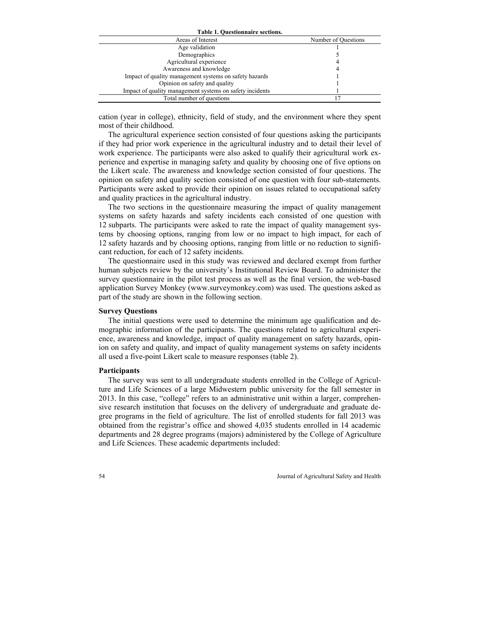| Table 1. Ouestionnaire sections.                         |                     |  |  |  |
|----------------------------------------------------------|---------------------|--|--|--|
| Areas of Interest                                        | Number of Questions |  |  |  |
| Age validation                                           |                     |  |  |  |
| Demographics                                             |                     |  |  |  |
| Agricultural experience                                  |                     |  |  |  |
| Awareness and knowledge                                  |                     |  |  |  |
| Impact of quality management systems on safety hazards   |                     |  |  |  |
| Opinion on safety and quality                            |                     |  |  |  |
| Impact of quality management systems on safety incidents |                     |  |  |  |
| Total number of questions                                |                     |  |  |  |

cation (year in college), ethnicity, field of study, and the environment where they spent most of their childhood.

The agricultural experience section consisted of four questions asking the participants if they had prior work experience in the agricultural industry and to detail their level of work experience. The participants were also asked to qualify their agricultural work experience and expertise in managing safety and quality by choosing one of five options on the Likert scale. The awareness and knowledge section consisted of four questions. The opinion on safety and quality section consisted of one question with four sub-statements. Participants were asked to provide their opinion on issues related to occupational safety and quality practices in the agricultural industry.

The two sections in the questionnaire measuring the impact of quality management systems on safety hazards and safety incidents each consisted of one question with 12 subparts. The participants were asked to rate the impact of quality management systems by choosing options, ranging from low or no impact to high impact, for each of 12 safety hazards and by choosing options, ranging from little or no reduction to significant reduction, for each of 12 safety incidents.

The questionnaire used in this study was reviewed and declared exempt from further human subjects review by the university's Institutional Review Board. To administer the survey questionnaire in the pilot test process as well as the final version, the web-based application Survey Monkey (www.surveymonkey.com) was used. The questions asked as part of the study are shown in the following section.

### **Survey Questions**

The initial questions were used to determine the minimum age qualification and demographic information of the participants. The questions related to agricultural experience, awareness and knowledge, impact of quality management on safety hazards, opinion on safety and quality, and impact of quality management systems on safety incidents all used a five-point Likert scale to measure responses (table 2).

#### **Participants**

The survey was sent to all undergraduate students enrolled in the College of Agriculture and Life Sciences of a large Midwestern public university for the fall semester in 2013. In this case, "college" refers to an administrative unit within a larger, comprehensive research institution that focuses on the delivery of undergraduate and graduate degree programs in the field of agriculture. The list of enrolled students for fall 2013 was obtained from the registrar's office and showed 4,035 students enrolled in 14 academic departments and 28 degree programs (majors) administered by the College of Agriculture and Life Sciences. These academic departments included: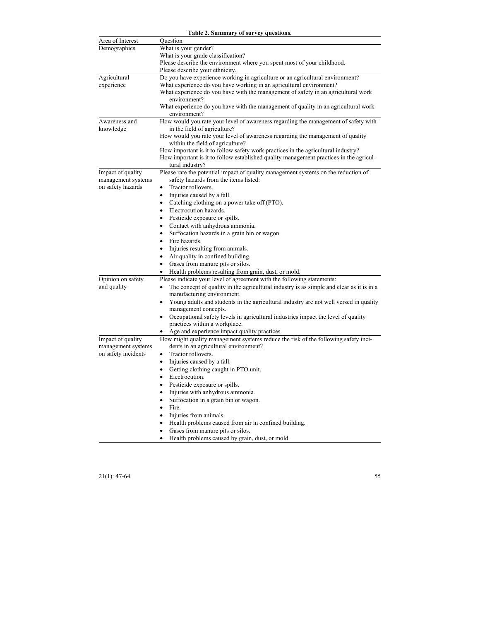| Area of Interest           | Question                                                                                                            |  |  |  |
|----------------------------|---------------------------------------------------------------------------------------------------------------------|--|--|--|
| Demographics               | What is your gender?                                                                                                |  |  |  |
|                            | What is your grade classification?                                                                                  |  |  |  |
|                            | Please describe the environment where you spent most of your childhood.                                             |  |  |  |
|                            | Please describe your ethnicity.                                                                                     |  |  |  |
| Agricultural               | Do you have experience working in agriculture or an agricultural environment?                                       |  |  |  |
| experience                 | What experience do you have working in an agricultural environment?                                                 |  |  |  |
|                            | What experience do you have with the management of safety in an agricultural work<br>environment?                   |  |  |  |
|                            | What experience do you have with the management of quality in an agricultural work<br>environment?                  |  |  |  |
| Awareness and<br>knowledge | How would you rate your level of awareness regarding the management of safety with-<br>in the field of agriculture? |  |  |  |
|                            | How would you rate your level of awareness regarding the management of quality<br>within the field of agriculture?  |  |  |  |
|                            | How important is it to follow safety work practices in the agricultural industry?                                   |  |  |  |
|                            | How important is it to follow established quality management practices in the agricul-                              |  |  |  |
| Impact of quality          | tural industry?<br>Please rate the potential impact of quality management systems on the reduction of               |  |  |  |
| management systems         | safety hazards from the items listed:                                                                               |  |  |  |
| on safety hazards          | Tractor rollovers.<br>$\bullet$                                                                                     |  |  |  |
|                            | Injuries caused by a fall.<br>$\bullet$                                                                             |  |  |  |
|                            | Catching clothing on a power take off (PTO).<br>$\bullet$                                                           |  |  |  |
|                            | Electrocution hazards.<br>$\bullet$                                                                                 |  |  |  |
|                            | Pesticide exposure or spills.<br>$\bullet$                                                                          |  |  |  |
|                            | Contact with anhydrous ammonia.                                                                                     |  |  |  |
|                            | Suffocation hazards in a grain bin or wagon.<br>$\bullet$                                                           |  |  |  |
|                            | Fire hazards.<br>$\bullet$                                                                                          |  |  |  |
|                            | Injuries resulting from animals.                                                                                    |  |  |  |
|                            | Air quality in confined building.<br>٠                                                                              |  |  |  |
|                            | Gases from manure pits or silos.<br>٠                                                                               |  |  |  |
|                            | Health problems resulting from grain, dust, or mold.<br>$\bullet$                                                   |  |  |  |
| Opinion on safety          | Please indicate your level of agreement with the following statements:                                              |  |  |  |
| and quality                | The concept of quality in the agricultural industry is as simple and clear as it is in a<br>$\bullet$               |  |  |  |
|                            | manufacturing environment.                                                                                          |  |  |  |
|                            | Young adults and students in the agricultural industry are not well versed in quality<br>$\bullet$                  |  |  |  |
|                            | management concepts.                                                                                                |  |  |  |
|                            | Occupational safety levels in agricultural industries impact the level of quality<br>$\bullet$                      |  |  |  |
|                            | practices within a workplace.                                                                                       |  |  |  |
|                            | Age and experience impact quality practices.<br>$\bullet$                                                           |  |  |  |
| Impact of quality          | How might quality management systems reduce the risk of the following safety inci-                                  |  |  |  |
| management systems         | dents in an agricultural environment?                                                                               |  |  |  |
| on safety incidents        | Tractor rollovers.<br>$\bullet$                                                                                     |  |  |  |
|                            | Injuries caused by a fall.<br>$\bullet$                                                                             |  |  |  |
|                            | Getting clothing caught in PTO unit.<br>$\bullet$                                                                   |  |  |  |
|                            | Electrocution.<br>$\bullet$                                                                                         |  |  |  |
|                            | Pesticide exposure or spills.<br>٠                                                                                  |  |  |  |
|                            | Injuries with anhydrous ammonia.                                                                                    |  |  |  |
|                            | Suffocation in a grain bin or wagon.<br>$\bullet$                                                                   |  |  |  |
|                            | Fire.<br>$\bullet$                                                                                                  |  |  |  |
|                            | Injuries from animals.                                                                                              |  |  |  |
|                            | Health problems caused from air in confined building.                                                               |  |  |  |
|                            | Gases from manure pits or silos.                                                                                    |  |  |  |
|                            | Health problems caused by grain, dust, or mold.                                                                     |  |  |  |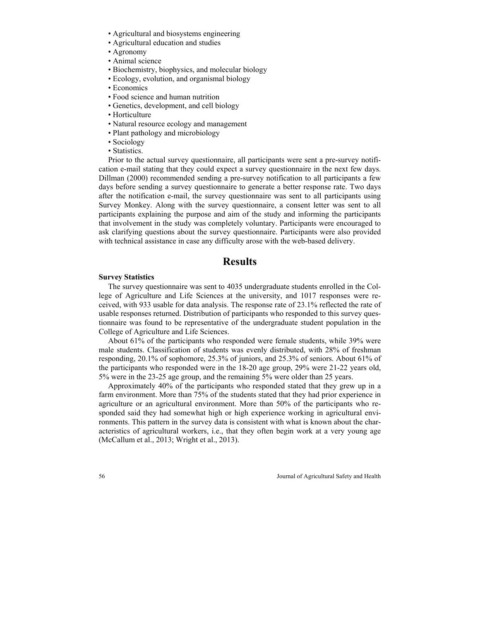- Agricultural and biosystems engineering
- Agricultural education and studies
- Agronomy
- Animal science
- Biochemistry, biophysics, and molecular biology
- Ecology, evolution, and organismal biology
- Economics
- Food science and human nutrition
- Genetics, development, and cell biology
- Horticulture
- Natural resource ecology and management
- Plant pathology and microbiology
- Sociology
- Statistics.

Prior to the actual survey questionnaire, all participants were sent a pre-survey notification e-mail stating that they could expect a survey questionnaire in the next few days. Dillman (2000) recommended sending a pre-survey notification to all participants a few days before sending a survey questionnaire to generate a better response rate. Two days after the notification e-mail, the survey questionnaire was sent to all participants using Survey Monkey. Along with the survey questionnaire, a consent letter was sent to all participants explaining the purpose and aim of the study and informing the participants that involvement in the study was completely voluntary. Participants were encouraged to ask clarifying questions about the survey questionnaire. Participants were also provided with technical assistance in case any difficulty arose with the web-based delivery.

## **Results**

#### **Survey Statistics**

The survey questionnaire was sent to 4035 undergraduate students enrolled in the College of Agriculture and Life Sciences at the university, and 1017 responses were received, with 933 usable for data analysis. The response rate of 23.1% reflected the rate of usable responses returned. Distribution of participants who responded to this survey questionnaire was found to be representative of the undergraduate student population in the College of Agriculture and Life Sciences.

About 61% of the participants who responded were female students, while 39% were male students. Classification of students was evenly distributed, with 28% of freshman responding, 20.1% of sophomore, 25.3% of juniors, and 25.3% of seniors. About 61% of the participants who responded were in the 18-20 age group, 29% were 21-22 years old, 5% were in the 23-25 age group, and the remaining 5% were older than 25 years.

Approximately 40% of the participants who responded stated that they grew up in a farm environment. More than 75% of the students stated that they had prior experience in agriculture or an agricultural environment. More than 50% of the participants who responded said they had somewhat high or high experience working in agricultural environments. This pattern in the survey data is consistent with what is known about the characteristics of agricultural workers, i.e., that they often begin work at a very young age (McCallum et al., 2013; Wright et al., 2013).

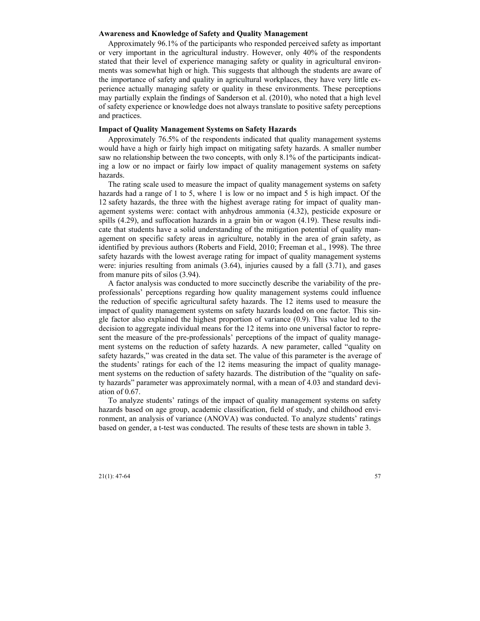#### **Awareness and Knowledge of Safety and Quality Management**

Approximately 96.1% of the participants who responded perceived safety as important or very important in the agricultural industry. However, only 40% of the respondents stated that their level of experience managing safety or quality in agricultural environments was somewhat high or high. This suggests that although the students are aware of the importance of safety and quality in agricultural workplaces, they have very little experience actually managing safety or quality in these environments. These perceptions may partially explain the findings of Sanderson et al. (2010), who noted that a high level of safety experience or knowledge does not always translate to positive safety perceptions and practices.

#### **Impact of Quality Management Systems on Safety Hazards**

Approximately 76.5% of the respondents indicated that quality management systems would have a high or fairly high impact on mitigating safety hazards. A smaller number saw no relationship between the two concepts, with only 8.1% of the participants indicating a low or no impact or fairly low impact of quality management systems on safety hazards.

The rating scale used to measure the impact of quality management systems on safety hazards had a range of 1 to 5, where 1 is low or no impact and 5 is high impact. Of the 12 safety hazards, the three with the highest average rating for impact of quality management systems were: contact with anhydrous ammonia (4.32), pesticide exposure or spills (4.29), and suffocation hazards in a grain bin or wagon (4.19). These results indicate that students have a solid understanding of the mitigation potential of quality management on specific safety areas in agriculture, notably in the area of grain safety, as identified by previous authors (Roberts and Field, 2010; Freeman et al., 1998). The three safety hazards with the lowest average rating for impact of quality management systems were: injuries resulting from animals (3.64), injuries caused by a fall (3.71), and gases from manure pits of silos (3.94).

A factor analysis was conducted to more succinctly describe the variability of the preprofessionals' perceptions regarding how quality management systems could influence the reduction of specific agricultural safety hazards. The 12 items used to measure the impact of quality management systems on safety hazards loaded on one factor. This single factor also explained the highest proportion of variance (0.9). This value led to the decision to aggregate individual means for the 12 items into one universal factor to represent the measure of the pre-professionals' perceptions of the impact of quality management systems on the reduction of safety hazards. A new parameter, called "quality on safety hazards," was created in the data set. The value of this parameter is the average of the students' ratings for each of the 12 items measuring the impact of quality management systems on the reduction of safety hazards. The distribution of the "quality on safety hazards" parameter was approximately normal, with a mean of 4.03 and standard deviation of 0.67.

To analyze students' ratings of the impact of quality management systems on safety hazards based on age group, academic classification, field of study, and childhood environment, an analysis of variance (ANOVA) was conducted. To analyze students' ratings based on gender, a t-test was conducted. The results of these tests are shown in table 3.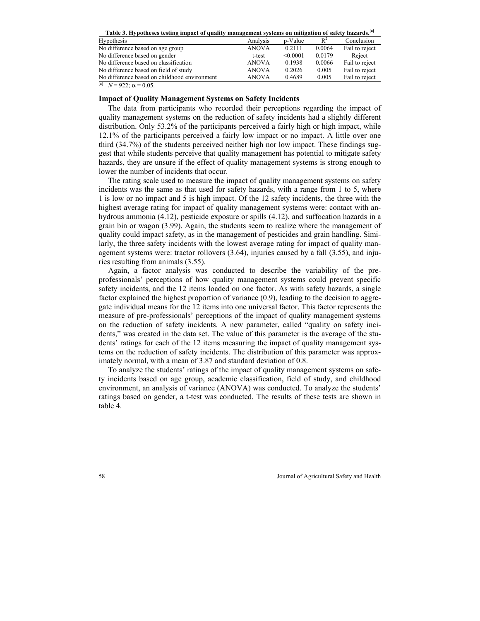| Table 3. Hypotheses testing impact of quality management systems on mitigation of safety hazards. [a] |
|-------------------------------------------------------------------------------------------------------|
|-------------------------------------------------------------------------------------------------------|

| <b>Hypothesis</b>                            | Analysis     | p-Value  | $R^2$  | Conclusion     |
|----------------------------------------------|--------------|----------|--------|----------------|
| No difference based on age group             | <b>ANOVA</b> | 0.2111   | 0.0064 | Fail to reject |
| No difference based on gender                | t-test       | < 0.0001 | 0.0179 | Reject         |
| No difference based on classification        | <b>ANOVA</b> | 0.1938   | 0.0066 | Fail to reject |
| No difference based on field of study        | <b>ANOVA</b> | 0.2026   | 0.005  | Fail to reject |
| No difference based on childhood environment | <b>ANOVA</b> | 0.4689   | 0.005  | Fail to reject |
| <sup>[a]</sup> $N = 922$ ; $\alpha = 0.05$ . |              |          |        |                |

#### **Impact of Quality Management Systems on Safety Incidents**

The data from participants who recorded their perceptions regarding the impact of quality management systems on the reduction of safety incidents had a slightly different distribution. Only 53.2% of the participants perceived a fairly high or high impact, while 12.1% of the participants perceived a fairly low impact or no impact. A little over one third (34.7%) of the students perceived neither high nor low impact. These findings suggest that while students perceive that quality management has potential to mitigate safety hazards, they are unsure if the effect of quality management systems is strong enough to lower the number of incidents that occur.

The rating scale used to measure the impact of quality management systems on safety incidents was the same as that used for safety hazards, with a range from 1 to 5, where 1 is low or no impact and 5 is high impact. Of the 12 safety incidents, the three with the highest average rating for impact of quality management systems were: contact with anhydrous ammonia (4.12), pesticide exposure or spills (4.12), and suffocation hazards in a grain bin or wagon (3.99). Again, the students seem to realize where the management of quality could impact safety, as in the management of pesticides and grain handling. Similarly, the three safety incidents with the lowest average rating for impact of quality management systems were: tractor rollovers (3.64), injuries caused by a fall (3.55), and injuries resulting from animals (3.55).

Again, a factor analysis was conducted to describe the variability of the preprofessionals' perceptions of how quality management systems could prevent specific safety incidents, and the 12 items loaded on one factor. As with safety hazards, a single factor explained the highest proportion of variance (0.9), leading to the decision to aggregate individual means for the 12 items into one universal factor. This factor represents the measure of pre-professionals' perceptions of the impact of quality management systems on the reduction of safety incidents. A new parameter, called "quality on safety incidents," was created in the data set. The value of this parameter is the average of the students' ratings for each of the 12 items measuring the impact of quality management systems on the reduction of safety incidents. The distribution of this parameter was approximately normal, with a mean of 3.87 and standard deviation of 0.8.

To analyze the students' ratings of the impact of quality management systems on safety incidents based on age group, academic classification, field of study, and childhood environment, an analysis of variance (ANOVA) was conducted. To analyze the students' ratings based on gender, a t-test was conducted. The results of these tests are shown in table 4.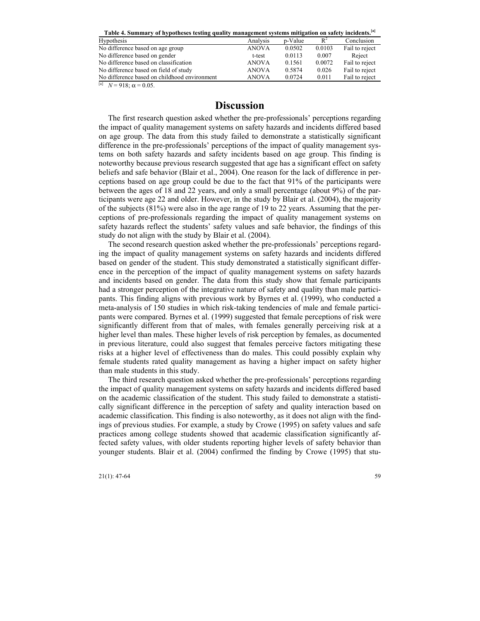| Table 4. Summary of hypotheses testing quality management systems mitigation on safety incidents. [a] |  |  |
|-------------------------------------------------------------------------------------------------------|--|--|
|                                                                                                       |  |  |

| Hypothesis                                   | Analysis     | p-Value | $R^2$  | Conclusion     |
|----------------------------------------------|--------------|---------|--------|----------------|
| No difference based on age group             | <b>ANOVA</b> | 0.0502  | 0.0103 | Fail to reject |
| No difference based on gender                | t-test       | 0.0113  | 0.007  | Reject         |
| No difference based on classification        | <b>ANOVA</b> | 0.1561  | 0.0072 | Fail to reject |
| No difference based on field of study        | <b>ANOVA</b> | 0.5874  | 0.026  | Fail to reject |
| No difference based on childhood environment | <b>ANOVA</b> | 0.0724  | 0.011  | Fail to reject |
| <sup>[a]</sup> $N = 918$ ; $\alpha = 0.05$ . |              |         |        |                |

## **Discussion**

The first research question asked whether the pre-professionals' perceptions regarding the impact of quality management systems on safety hazards and incidents differed based on age group. The data from this study failed to demonstrate a statistically significant difference in the pre-professionals' perceptions of the impact of quality management systems on both safety hazards and safety incidents based on age group. This finding is noteworthy because previous research suggested that age has a significant effect on safety beliefs and safe behavior (Blair et al., 2004). One reason for the lack of difference in perceptions based on age group could be due to the fact that 91% of the participants were between the ages of 18 and 22 years, and only a small percentage (about 9%) of the participants were age 22 and older. However, in the study by Blair et al. (2004), the majority of the subjects (81%) were also in the age range of 19 to 22 years. Assuming that the perceptions of pre-professionals regarding the impact of quality management systems on safety hazards reflect the students' safety values and safe behavior, the findings of this study do not align with the study by Blair et al. (2004).

The second research question asked whether the pre-professionals' perceptions regarding the impact of quality management systems on safety hazards and incidents differed based on gender of the student. This study demonstrated a statistically significant difference in the perception of the impact of quality management systems on safety hazards and incidents based on gender. The data from this study show that female participants had a stronger perception of the integrative nature of safety and quality than male participants. This finding aligns with previous work by Byrnes et al. (1999), who conducted a meta-analysis of 150 studies in which risk-taking tendencies of male and female participants were compared. Byrnes et al. (1999) suggested that female perceptions of risk were significantly different from that of males, with females generally perceiving risk at a higher level than males. These higher levels of risk perception by females, as documented in previous literature, could also suggest that females perceive factors mitigating these risks at a higher level of effectiveness than do males. This could possibly explain why female students rated quality management as having a higher impact on safety higher than male students in this study.

The third research question asked whether the pre-professionals' perceptions regarding the impact of quality management systems on safety hazards and incidents differed based on the academic classification of the student. This study failed to demonstrate a statistically significant difference in the perception of safety and quality interaction based on academic classification. This finding is also noteworthy, as it does not align with the findings of previous studies. For example, a study by Crowe (1995) on safety values and safe practices among college students showed that academic classification significantly affected safety values, with older students reporting higher levels of safety behavior than younger students. Blair et al. (2004) confirmed the finding by Crowe (1995) that stu-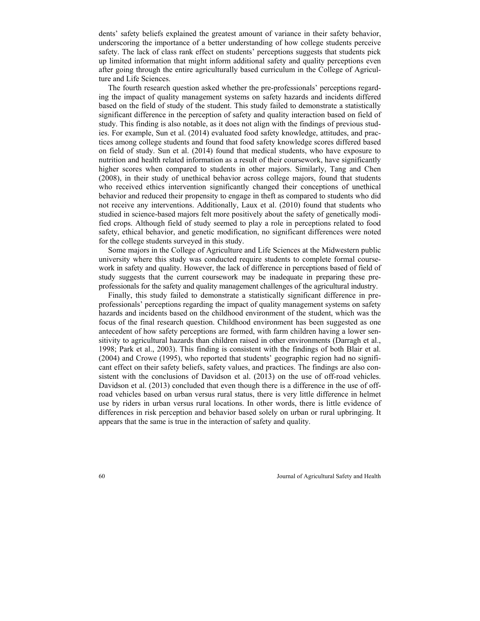dents' safety beliefs explained the greatest amount of variance in their safety behavior, underscoring the importance of a better understanding of how college students perceive safety. The lack of class rank effect on students' perceptions suggests that students pick up limited information that might inform additional safety and quality perceptions even after going through the entire agriculturally based curriculum in the College of Agriculture and Life Sciences.

The fourth research question asked whether the pre-professionals' perceptions regarding the impact of quality management systems on safety hazards and incidents differed based on the field of study of the student. This study failed to demonstrate a statistically significant difference in the perception of safety and quality interaction based on field of study. This finding is also notable, as it does not align with the findings of previous studies. For example, Sun et al. (2014) evaluated food safety knowledge, attitudes, and practices among college students and found that food safety knowledge scores differed based on field of study. Sun et al. (2014) found that medical students, who have exposure to nutrition and health related information as a result of their coursework, have significantly higher scores when compared to students in other majors. Similarly, Tang and Chen (2008), in their study of unethical behavior across college majors, found that students who received ethics intervention significantly changed their conceptions of unethical behavior and reduced their propensity to engage in theft as compared to students who did not receive any interventions. Additionally, Laux et al. (2010) found that students who studied in science-based majors felt more positively about the safety of genetically modified crops. Although field of study seemed to play a role in perceptions related to food safety, ethical behavior, and genetic modification, no significant differences were noted for the college students surveyed in this study.

Some majors in the College of Agriculture and Life Sciences at the Midwestern public university where this study was conducted require students to complete formal coursework in safety and quality. However, the lack of difference in perceptions based of field of study suggests that the current coursework may be inadequate in preparing these preprofessionals for the safety and quality management challenges of the agricultural industry.

Finally, this study failed to demonstrate a statistically significant difference in preprofessionals' perceptions regarding the impact of quality management systems on safety hazards and incidents based on the childhood environment of the student, which was the focus of the final research question. Childhood environment has been suggested as one antecedent of how safety perceptions are formed, with farm children having a lower sensitivity to agricultural hazards than children raised in other environments (Darragh et al., 1998; Park et al., 2003). This finding is consistent with the findings of both Blair et al. (2004) and Crowe (1995), who reported that students' geographic region had no significant effect on their safety beliefs, safety values, and practices. The findings are also consistent with the conclusions of Davidson et al. (2013) on the use of off-road vehicles. Davidson et al. (2013) concluded that even though there is a difference in the use of offroad vehicles based on urban versus rural status, there is very little difference in helmet use by riders in urban versus rural locations. In other words, there is little evidence of differences in risk perception and behavior based solely on urban or rural upbringing. It appears that the same is true in the interaction of safety and quality.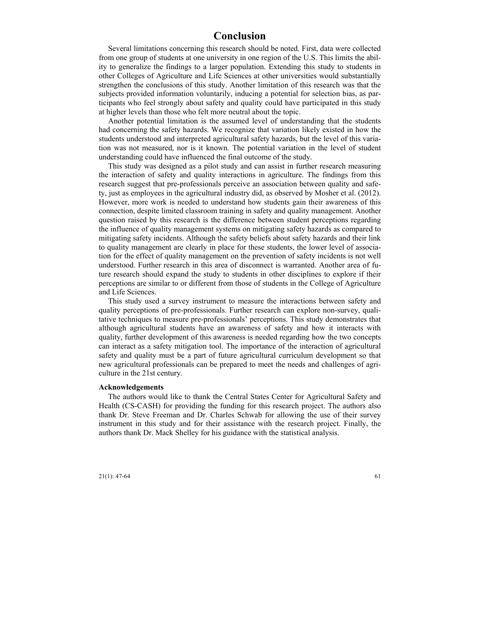## **Conclusion**

Several limitations concerning this research should be noted. First, data were collected from one group of students at one university in one region of the U.S. This limits the ability to generalize the findings to a larger population. Extending this study to students in other Colleges of Agriculture and Life Sciences at other universities would substantially strengthen the conclusions of this study. Another limitation of this research was that the subjects provided information voluntarily, inducing a potential for selection bias, as participants who feel strongly about safety and quality could have participated in this study at higher levels than those who felt more neutral about the topic.

Another potential limitation is the assumed level of understanding that the students had concerning the safety hazards. We recognize that variation likely existed in how the students understood and interpreted agricultural safety hazards, but the level of this variation was not measured, nor is it known. The potential variation in the level of student understanding could have influenced the final outcome of the study.

This study was designed as a pilot study and can assist in further research measuring the interaction of safety and quality interactions in agriculture. The findings from this research suggest that pre-professionals perceive an association between quality and safety, just as employees in the agricultural industry did, as observed by Mosher et al. (2012). However, more work is needed to understand how students gain their awareness of this connection, despite limited classroom training in safety and quality management. Another question raised by this research is the difference between student perceptions regarding the influence of quality management systems on mitigating safety hazards as compared to mitigating safety incidents. Although the safety beliefs about safety hazards and their link to quality management are clearly in place for these students, the lower level of association for the effect of quality management on the prevention of safety incidents is not well understood. Further research in this area of disconnect is warranted. Another area of future research should expand the study to students in other disciplines to explore if their perceptions are similar to or different from those of students in the College of Agriculture and Life Sciences.

This study used a survey instrument to measure the interactions between safety and quality perceptions of pre-professionals. Further research can explore non-survey, qualitative techniques to measure pre-professionals' perceptions. This study demonstrates that although agricultural students have an awareness of safety and how it interacts with quality, further development of this awareness is needed regarding how the two concepts can interact as a safety mitigation tool. The importance of the interaction of agricultural safety and quality must be a part of future agricultural curriculum development so that new agricultural professionals can be prepared to meet the needs and challenges of agriculture in the 21st century.

#### **Acknowledgements**

The authors would like to thank the Central States Center for Agricultural Safety and Health (CS-CASH) for providing the funding for this research project. The authors also thank Dr. Steve Freeman and Dr. Charles Schwab for allowing the use of their survey instrument in this study and for their assistance with the research project. Finally, the authors thank Dr. Mack Shelley for his guidance with the statistical analysis.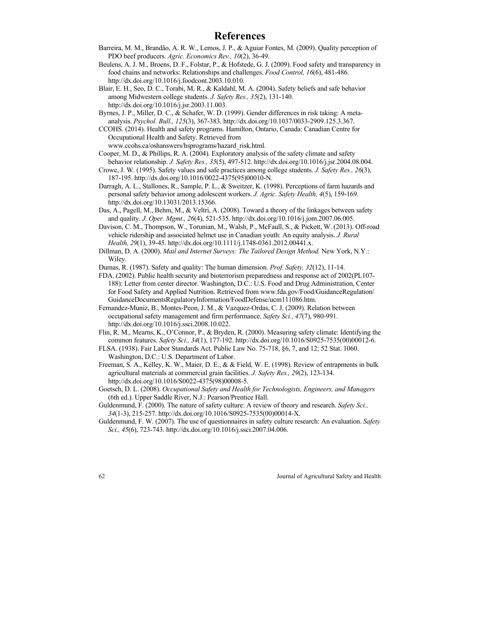## **References**

- Barreira, M. M., Brandão, A. R. W., Lemos, J. P., & Aguiar Fontes, M. (2009). Quality perception of PDO beef producers. *Agric. Economics Rev., 10*(2), 36-49.
- Beulens, A. J. M., Broens, D. F., Folstar, P., & Hofstede, G. J. (2009). Food safety and transparency in food chains and networks: Relationships and challenges. *Food Control, 16*(6), 481-486. http://dx.doi.org/10.1016/j.foodcont.2003.10.010.
- Blair, E. H., Seo, D. C., Torabi, M. R., & Kaldahl, M. A. (2004). Safety beliefs and safe behavior among Midwestern college students. *J. Safety Res., 35*(2), 131-140. http://dx.doi.org/10.1016/j.jsr.2003.11.003.
- Byrnes, J. P., Miller, D. C., & Schafer, W. D. (1999). Gender differences in risk taking: A metaanalysis. *Psychol. Bull., 125*(3), 367-383. http://dx.doi.org/10.1037/0033-2909.125.3.367.
- CCOHS. (2014). Health and safety programs. Hamilton, Ontario, Canada: Canadian Centre for Occupational Health and Safety. Retrieved from
- www.ccohs.ca/oshanswers/hsprograms/hazard\_risk.html.
- Cooper, M. D., & Phillips, R. A. (2004). Exploratory analysis of the safety climate and safety behavior relationship. *J. Safety Res., 35*(5), 497-512. http://dx.doi.org/10.1016/j.jsr.2004.08.004.
- [Crowe, J. W. \(1995\). Safety values and safe practices among college students.](http://dx.doi.org/10.1016/0022-4375(95)00010-N) *J. Safety Res., 26*(3), 187-195. http://dx.doi.org/10.1016/0022-4375(95)00010-N.
- Darragh, A. L., Stallones, R., Sample, P. L., & Sweitzer, K. (1998). Perceptions of farm hazards and personal safety behavior among adolescent workers. *J. Agric. Safety Health, 4*(5), 159-169. http://dx.doi.org/10.13031/2013.15366.
- Das, A., Pagell, M., Behm, M., & Veltri, A. (2008). Toward a theory of the linkages between safety and quality. *J. Oper. Mgmt., 26*(4), 521-535. http://dx.doi.org/10.1016/j.jom.2007.06.005.
- Davison, C. M., Thompson, W., Torunian, M., Walsh, P., McFaull, S., & Pickett, W. (2013). Off-road vehicle ridership and associated helmet use in Canadian youth: An equity analysis. *J. Rural Health, 29*(1), 39-45. http://dx.doi.org/10.1111/j.1748-0361.2012.00441.x.
- Dillman, D. A. (2000). *Mail and Internet Surveys: The Tailored Design Method.* New York, N.Y.: Wiley.
- Dumas, R. (1987). Safety and quality: The human dimension. *Prof. Safety, 32*(12), 11-14.
- FDA. (2002). Public health security and bioterrorism preparedness and response act of 2002(PL107- [188\): Letter from center director. Washington, D.C.: U.S. Food and Drug Administration, Center](www.fda.gov/Food/GuidanceRegulation/GuidanceDocumentsRegulatoryInformation/FoodDefense/ucm111086.htm)  for Food Safety and Applied Nutrition. Retrieved from www.fda.gov/Food/GuidanceRegulation/ GuidanceDocumentsRegulatoryInformation/FoodDefense/ucm111086.htm.
- Fernandez-Muniz, B., Montes-Peon, J. M., & Vazquez-Ordas, C. J. (2009). Relation between occupational safety management and firm performance. *Safety Sci., 47*(7), 980-991. http://dx.doi.org/10.1016/j.ssci.2008.10.022.
- [Flin, R. M., Mearns, K., O'Connor, P., & Bryden, R. \(2000\). Measuring safety climate: Identifying the](http://dx.doi.org/10.1016/S0925-7535(00)00012-6)  common features. *Safety Sci., 34*(1), 177-192. http://dx.doi.org/10.1016/S0925-7535(00)00012-6.
- FLSA. (1938). Fair Labor Standards Act. Public Law No. 75-718, §6, 7, and 12; 52 Stat. 1060. Washington, D.C.: U.S. Department of Labor.
- [Freeman, S. A., Kelley, K. W., Maier, D. E., & & Field, W. E. \(1998\). Review of entrapments in bulk](http://dx.doi.org/10.1016/S0022-4375(98)00008-5)  agricultural materials at commercial grain facilities. *J. Safety Res., 29*(2), 123-134. http://dx.doi.org/10.1016/S0022-4375(98)00008-5.
- Goetsch, D. L. (2008). *Occupational Safety and Health for Technologists, Engineers, and Managers* (6th ed.). Upper Saddle River, N.J.: Pearson/Prentice Hall.
- [Guldenmund, F. \(2000\). The nature of safety culture: A review of theory and research.](http://dx.doi.org/10.1016/S0925-7535(00)00014-X) *Safety Sci., 34*(1-3), 215-257. http://dx.doi.org/10.1016/S0925-7535(00)00014-X.
- Guldenmund, F. W. (2007). The use of questionnaires in safety culture research: An evaluation. *Safety Sci., 45*(6), 723-743. http://dx.doi.org/10.1016/j.ssci.2007.04.006.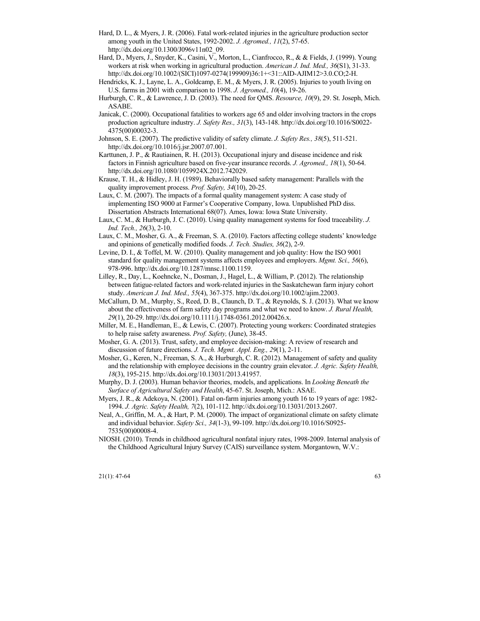- Hard, D. L., & Myers, J. R. (2006). Fatal work-related injuries in the agriculture production sector among youth in the United States, 1992-2002. *J. Agromed., 11*(2), 57-65. http://dx.doi.org/10.1300/J096v11n02\_09.
- Hard, D., Myers, J., Snyder, K., Casini, V., Morton, L., Cianfrocco, R., & & Fields, J. (1999). Young workers at risk when working in agricultural production. *American J. Ind. Med., 36*(S1), 31-33. [http://dx.doi.org/10.1002/\(SICI\)1097-0274\(199909\)36:1+<31::AID-AJIM12>3.0.CO;2-H.](http://dx.doi.org/10.1002/(SICI)1097-0274(199909)36:1+<31::AID-AJIM12>3.0.CO;2-H)
- Hendricks, K. J., Layne, L. A., Goldcamp, E. M., & Myers, J. R. (2005). Injuries to youth living on U.S. farms in 2001 with comparison to 1998. *J. Agromed., 10*(4), 19-26.
- Hurburgh, C. R., & Lawrence, J. D. (2003). The need for QMS. *Resource, 10*(9), 29. St. Joseph, Mich. ASABE.
- Janicak, C. (2000). Occupational fatalities to workers age 65 and older involving tractors in the crops production agriculture industry. *J. Safety Res., 31*[\(3\), 143-148. http://dx.doi.org/10.1016/S0022-](http://dx.doi.org/10.1016/S0022-4375(00)00032-3) 4375(00)00032-3.
- Johnson, S. E. (2007). The predictive validity of safety climate. *J. Safety Res., 38*(5), 511-521. http://dx.doi.org/10.1016/j.jsr.2007.07.001.
- Karttunen, J. P., & Rautiainen, R. H. (2013). Occupational injury and disease incidence and risk factors in Finnish agriculture based on five-year insurance records. *J. Agromed., 18*(1), 50-64. http://dx.doi.org/10.1080/1059924X.2012.742029.
- Krause, T. H., & Hidley, J. H. (1989). Behaviorally based safety management: Parallels with the quality improvement process. *Prof. Safety, 34*(10), 20-25.
- Laux, C. M. (2007). The impacts of a formal quality management system: A case study of implementing ISO 9000 at Farmer's Cooperative Company, Iowa. Unpublished PhD diss. Dissertation Abstracts International 68(07). Ames, Iowa: Iowa State University.
- Laux, C. M., & Hurburgh, J. C. (2010). Using quality management systems for food traceability. *J. Ind. Tech., 26*(3), 2-10.
- Laux, C. M., Mosher, G. A., & Freeman, S. A. (2010). Factors affecting college students' knowledge and opinions of genetically modified foods. *J. Tech. Studies, 36*(2), 2-9.
- Levine, D. I., & Toffel, M. W. (2010). Quality management and job quality: How the ISO 9001 standard for quality management systems affects employees and employers. *Mgmt. Sci., 56*(6), 978-996. http://dx.doi.org/10.1287/mnsc.1100.1159.
- Lilley, R., Day, L., Koehncke, N., Dosman, J., Hagel, L., & William, P. (2012). The relationship between fatigue‐related factors and work‐related injuries in the Saskatchewan farm injury cohort study. *American J. Ind. Med., 55*(4), 367-375. http://dx.doi.org/10.1002/ajim.22003.
- McCallum, D. M., Murphy, S., Reed, D. B., Claunch, D. T., & Reynolds, S. J. (2013). What we know about the effectiveness of farm safety day programs and what we need to know. *J. Rural Health, 29*(1), 20-29. http://dx.doi.org/10.1111/j.1748-0361.2012.00426.x.
- Miller, M. E., Handleman, E., & Lewis, C. (2007). Protecting young workers: Coordinated strategies to help raise safety awareness. *Prof. Safety,* (June), 38-45.
- Mosher, G. A. (2013). Trust, safety, and employee decision-making: A review of research and discussion of future directions. *J. Tech. Mgmt. Appl. Eng., 29*(1), 2-11.
- Mosher, G., Keren, N., Freeman, S. A., & Hurburgh, C. R. (2012). Management of safety and quality and the relationship with employee decisions in the country grain elevator. *J. Agric. Safety Health, 18*(3), 195-215. http://dx.doi.org/10.13031/2013.41957.
- Murphy, D. J. (2003). Human behavior theories, models, and applications. In *Looking Beneath the Surface of Agricultural Safety and Health*, 45-67. St. Joseph, Mich.: ASAE.
- Myers, J. R., & Adekoya, N. (2001). Fatal on-farm injuries among youth 16 to 19 years of age: 1982- 1994. *J. Agric. Safety Health, 7*(2), 101-112. http://dx.doi.org/10.13031/2013.2607.
- Neal, A., Griffin, M. A., & Hart, P. M. (2000). The impact of organizational climate on safety climate and individual behavior. *Safety Sci., 34*[\(1-3\), 99-109. http://dx.doi.org/10.1016/S0925-](http://dx.doi.org/10.1016/S0925-7535(00)00008-4) 7535(00)00008-4.
- NIOSH. (2010). Trends in childhood agricultural nonfatal injury rates, 1998-2009. Internal analysis of the Childhood Agricultural Injury Survey (CAIS) surveillance system. Morgantown, W.V.: